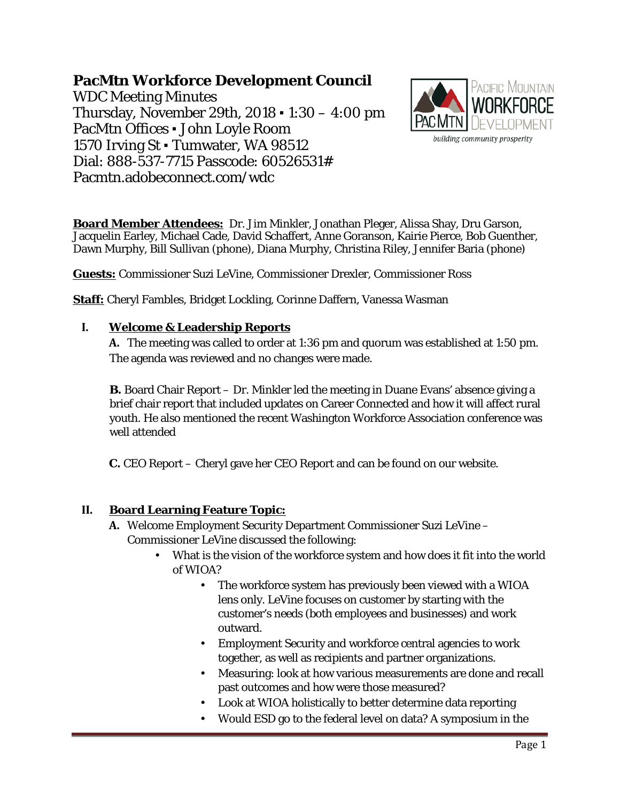# **PacMtn Workforce Development Council**

WDC Meeting Minutes Thursday, November 29th, 2018 ▪ 1:30 – 4:00 pm PacMtn Offices ▪ John Loyle Room 1570 Irving St · Tumwater, WA 98512 Dial: 888-537-7715 Passcode: 60526531# Pacmtn.adobeconnect.com/wdc



**Board Member Attendees:** Dr. Jim Minkler, Jonathan Pleger, Alissa Shay, Dru Garson, Jacquelin Earley, Michael Cade, David Schaffert, Anne Goranson, Kairie Pierce, Bob Guenther, Dawn Murphy, Bill Sullivan (phone), Diana Murphy, Christina Riley, Jennifer Baria (phone)

**Guests:** Commissioner Suzi LeVine, Commissioner Drexler, Commissioner Ross

**Staff:** Cheryl Fambles, Bridget Lockling, Corinne Daffern, Vanessa Wasman

#### **I. Welcome & Leadership Reports**

**A.** The meeting was called to order at 1:36 pm and quorum was established at 1:50 pm. The agenda was reviewed and no changes were made.

**B.** Board Chair Report – Dr. Minkler led the meeting in Duane Evans' absence giving a brief chair report that included updates on Career Connected and how it will affect rural youth. He also mentioned the recent Washington Workforce Association conference was well attended

**C.** CEO Report – Cheryl gave her CEO Report and can be found on our website.

# **II. Board Learning Feature Topic:**

- **A.** Welcome Employment Security Department Commissioner Suzi LeVine Commissioner LeVine discussed the following:
	- What is the vision of the workforce system and how does it fit into the world of WIOA?
		- The workforce system has previously been viewed with a WIOA lens only. LeVine focuses on customer by starting with the customer's needs (both employees and businesses) and work outward.
		- Employment Security and workforce central agencies to work together, as well as recipients and partner organizations.
		- Measuring: look at how various measurements are done and recall past outcomes and how were those measured?
		- Look at WIOA holistically to better determine data reporting
		- Would ESD go to the federal level on data? A symposium in the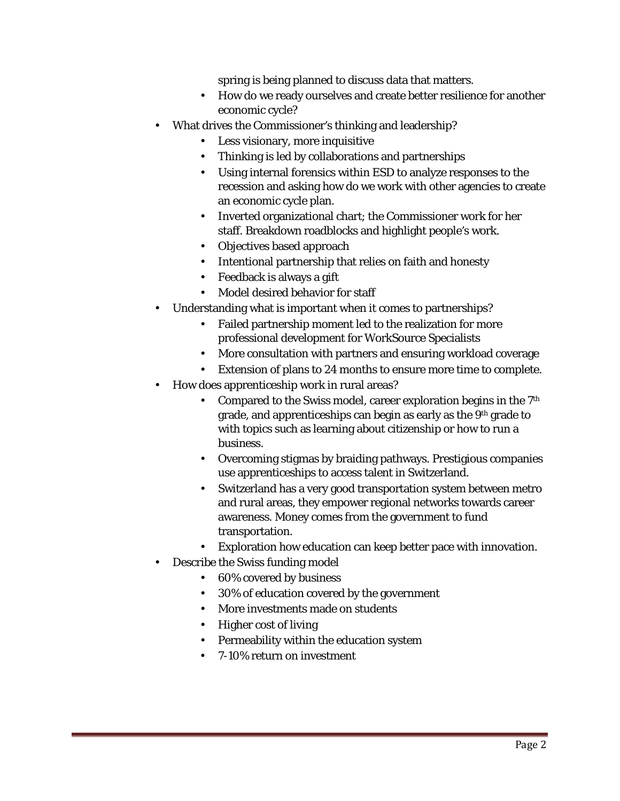spring is being planned to discuss data that matters.

- How do we ready ourselves and create better resilience for another economic cycle?
- What drives the Commissioner's thinking and leadership?
	- Less visionary, more inquisitive
	- Thinking is led by collaborations and partnerships
	- Using internal forensics within ESD to analyze responses to the recession and asking how do we work with other agencies to create an economic cycle plan.
	- Inverted organizational chart; the Commissioner work for her staff. Breakdown roadblocks and highlight people's work.
	- Objectives based approach
	- Intentional partnership that relies on faith and honesty
	- Feedback is always a gift
	- Model desired behavior for staff
- Understanding what is important when it comes to partnerships?
	- Failed partnership moment led to the realization for more professional development for WorkSource Specialists
	- More consultation with partners and ensuring workload coverage
	- Extension of plans to 24 months to ensure more time to complete.
- How does apprenticeship work in rural areas?
	- Compared to the Swiss model, career exploration begins in the 7<sup>th</sup> grade, and apprenticeships can begin as early as the 9th grade to with topics such as learning about citizenship or how to run a business.
	- Overcoming stigmas by braiding pathways. Prestigious companies use apprenticeships to access talent in Switzerland.
	- Switzerland has a very good transportation system between metro and rural areas, they empower regional networks towards career awareness. Money comes from the government to fund transportation.
	- Exploration how education can keep better pace with innovation.
- Describe the Swiss funding model
	- 60% covered by business
	- 30% of education covered by the government
	- More investments made on students
	- Higher cost of living
	- Permeability within the education system
	- 7-10% return on investment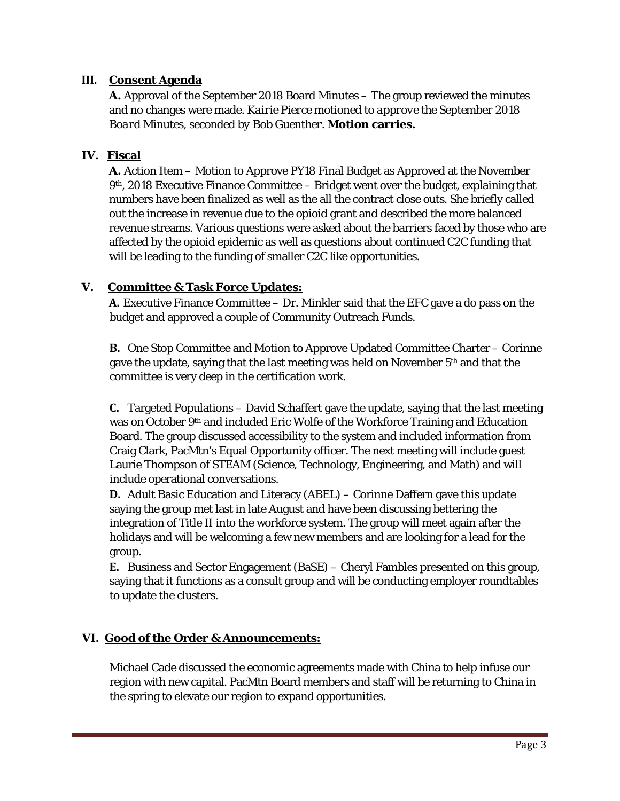### **III. Consent Agenda**

**A.** Approval of the September 2018 Board Minutes – The group reviewed the minutes and no changes were made. *Kairie Pierce motioned to approve the September 2018 Board Minutes, seconded by Bob Guenther.* **Motion carries.**

#### **IV. Fiscal**

**A.** Action Item – Motion to Approve PY18 Final Budget as Approved at the November  $9<sup>th</sup>$ , 2018 Executive Finance Committee – Bridget went over the budget, explaining that numbers have been finalized as well as the all the contract close outs. She briefly called out the increase in revenue due to the opioid grant and described the more balanced revenue streams. Various questions were asked about the barriers faced by those who are affected by the opioid epidemic as well as questions about continued C2C funding that will be leading to the funding of smaller C2C like opportunities.

#### **V. Committee & Task Force Updates:**

**A.** Executive Finance Committee – Dr. Minkler said that the EFC gave a do pass on the budget and approved a couple of Community Outreach Funds.

**B.** One Stop Committee and Motion to Approve Updated Committee Charter – Corinne gave the update, saying that the last meeting was held on November  $5<sup>th</sup>$  and that the committee is very deep in the certification work.

**C.** Targeted Populations – David Schaffert gave the update, saying that the last meeting was on October 9th and included Eric Wolfe of the Workforce Training and Education Board. The group discussed accessibility to the system and included information from Craig Clark, PacMtn's Equal Opportunity officer. The next meeting will include guest Laurie Thompson of STEAM (Science, Technology, Engineering, and Math) and will include operational conversations.

**D.** Adult Basic Education and Literacy (ABEL) – Corinne Daffern gave this update saying the group met last in late August and have been discussing bettering the integration of Title II into the workforce system. The group will meet again after the holidays and will be welcoming a few new members and are looking for a lead for the group.

**E.** Business and Sector Engagement (BaSE) – Cheryl Fambles presented on this group, saying that it functions as a consult group and will be conducting employer roundtables to update the clusters.

# **VI. Good of the Order & Announcements:**

Michael Cade discussed the economic agreements made with China to help infuse our region with new capital. PacMtn Board members and staff will be returning to China in the spring to elevate our region to expand opportunities.